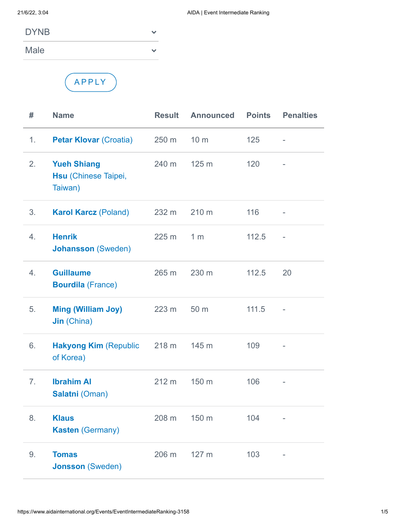| <b>DYNB</b> |  |
|-------------|--|
|             |  |

Male



 $\checkmark$ 

| #              | <b>Name</b>                                           | <b>Result</b> | <b>Announced</b> | <b>Points</b> | <b>Penalties</b> |
|----------------|-------------------------------------------------------|---------------|------------------|---------------|------------------|
| 1.             | <b>Petar Klovar (Croatia)</b>                         | 250 m         | 10 <sub>m</sub>  | 125           | $\overline{a}$   |
| 2.             | <b>Yueh Shiang</b><br>Hsu (Chinese Taipei,<br>Taiwan) | 240 m         | 125 m            | 120           |                  |
| 3.             | <b>Karol Karcz (Poland)</b>                           | 232 m         | 210 m            | 116           | ٠                |
| 4.             | <b>Henrik</b><br><b>Johansson (Sweden)</b>            | 225 m         | 1 <sub>m</sub>   | 112.5         | $\overline{a}$   |
| 4.             | <b>Guillaume</b><br><b>Bourdila (France)</b>          | 265 m         | 230 m            | 112.5         | 20               |
| 5.             | <b>Ming (William Joy)</b><br><b>Jin (China)</b>       | 223 m         | 50 m             | 111.5         | ÷,               |
| 6.             | <b>Hakyong Kim (Republic</b><br>of Korea)             | 218 m         | 145 m            | 109           |                  |
| 7 <sub>1</sub> | <b>Ibrahim AI</b><br>Salatni (Oman)                   | 212 m         | 150 m            | 106           |                  |
| 8.             | <b>Klaus</b><br><b>Kasten (Germany)</b>               | 208 m         | 150 m            | 104           |                  |
| 9.             | <b>Tomas</b><br><b>Jonsson (Sweden)</b>               | 206 m         | 127 m            | 103           |                  |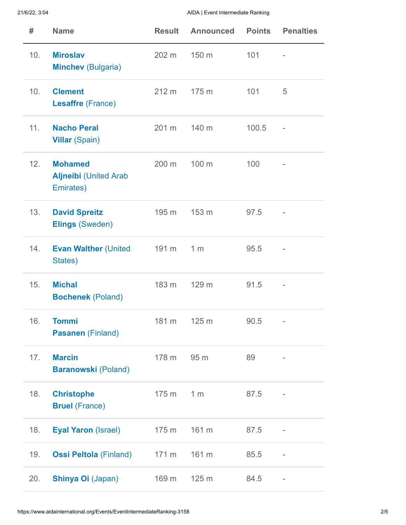| #   | <b>Name</b>                                                 | <b>Result</b> | <b>Announced</b> | <b>Points</b> | <b>Penalties</b>         |
|-----|-------------------------------------------------------------|---------------|------------------|---------------|--------------------------|
| 10. | <b>Miroslav</b><br><b>Minchev (Bulgaria)</b>                | 202 m         | 150 m            | 101           |                          |
| 10. | <b>Clement</b><br><b>Lesaffre (France)</b>                  | 212 m         | 175 m            | 101           | 5                        |
| 11. | <b>Nacho Peral</b><br><b>Villar (Spain)</b>                 | 201 m         | 140 m            | 100.5         | $\overline{\phantom{a}}$ |
| 12. | <b>Mohamed</b><br><b>Aljneibi</b> (United Arab<br>Emirates) | 200 m         | 100 m            | 100           |                          |
| 13. | <b>David Spreitz</b><br><b>Elings (Sweden)</b>              | 195 m         | 153 m            | 97.5          |                          |
| 14. | <b>Evan Walther (United</b><br>States)                      | 191 m         | 1 <sub>m</sub>   | 95.5          |                          |
| 15. | <b>Michal</b><br><b>Bochenek (Poland)</b>                   | 183 m         | 129 m            | 91.5          |                          |
| 16. | <b>Tommi</b><br>Pasanen (Finland)                           | 181 m         | 125 m            | 90.5          |                          |
| 17. | <b>Marcin</b><br><b>Baranowski (Poland)</b>                 | 178 m         | 95 m             | 89            |                          |
| 18. | <b>Christophe</b><br><b>Bruel (France)</b>                  | 175 m         | 1 <sub>m</sub>   | 87.5          | ÷                        |
| 18. | <b>Eyal Yaron (Israel)</b>                                  | 175 m         | 161 m            | 87.5          |                          |
| 19. | <b>Ossi Peltola (Finland)</b>                               | 171 m         | 161 m            | 85.5          |                          |
| 20. | <b>Shinya Oi (Japan)</b>                                    | 169 m         | 125 m            | 84.5          |                          |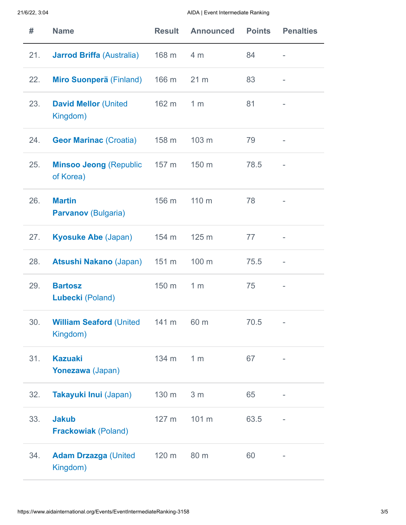| #   | <b>Name</b>                                      | <b>Result</b> | <b>Announced</b> | <b>Points</b> | <b>Penalties</b> |
|-----|--------------------------------------------------|---------------|------------------|---------------|------------------|
| 21. | <b>Jarrod Briffa (Australia)</b>                 | 168 m         | 4 <sub>m</sub>   | 84            | ۰                |
| 22. | Miro Suonperä (Finland)                          | 166 m         | 21 <sub>m</sub>  | 83            |                  |
| 23. | <b>David Mellor (United</b><br>Kingdom)          | 162 m         | 1 <sub>m</sub>   | 81            |                  |
| 24. | <b>Geor Marinac (Croatia)</b>                    | 158 m         | 103 m            | 79            |                  |
| 25. | <b>Minsoo Jeong (Republic</b><br>of Korea)       | 157 m         | 150 m            | 78.5          |                  |
| 26. | <b>Martin</b><br><b>Parvanov</b> (Bulgaria)      | 156 m         | 110 m            | 78            |                  |
| 27. | <b>Kyosuke Abe (Japan)</b>                       | 154 m         | 125 m            | 77            | ۰                |
| 28. | <b>Atsushi Nakano (Japan)</b>                    | 151 m         | 100 m            | 75.5          | ÷                |
| 29. | <b>Bartosz</b><br>Lubecki (Poland)               | 150 m         | 1 <sub>m</sub>   | 75            |                  |
| 30. | <b>William Seaford (United</b> 141 m<br>Kingdom) |               | 60 m             | 70.5          |                  |
| 31. | <b>Kazuaki</b><br>Yonezawa (Japan)               | 134 m         | 1 <sub>m</sub>   | 67            |                  |
| 32. | Takayuki Inui (Japan)                            | 130 m         | 3 <sub>m</sub>   | 65            |                  |
| 33. | <b>Jakub</b><br><b>Frackowiak (Poland)</b>       | 127 m         | 101 m            | 63.5          |                  |
| 34. | <b>Adam Drzazga (United</b><br>Kingdom)          | 120 m         | 80 m             | 60            |                  |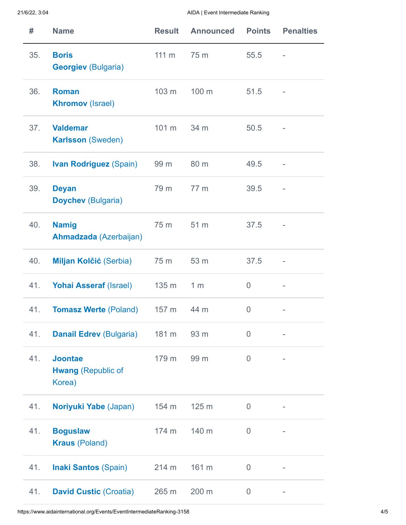| #   | <b>Name</b>                                           | <b>Result</b>   | <b>Announced</b> | <b>Points</b>  | <b>Penalties</b>         |
|-----|-------------------------------------------------------|-----------------|------------------|----------------|--------------------------|
| 35. | <b>Boris</b><br><b>Georgiev (Bulgaria)</b>            | $111 \text{ m}$ | 75 m             | 55.5           |                          |
| 36. | <b>Roman</b><br><b>Khromov</b> (Israel)               | 103 m           | 100 m            | 51.5           |                          |
| 37. | <b>Valdemar</b><br><b>Karlsson (Sweden)</b>           | 101 m           | 34 m             | 50.5           |                          |
| 38. | <b>Ivan Rodriguez (Spain)</b>                         | 99 m            | 80 m             | 49.5           | $\overline{\phantom{0}}$ |
| 39. | <b>Deyan</b><br><b>Doychev (Bulgaria)</b>             | 79 m            | 77 m             | 39.5           |                          |
| 40. | <b>Namig</b><br>Ahmadzada (Azerbaijan)                | 75 m            | 51 m             | 37.5           |                          |
| 40. | Miljan Kolčić (Serbia)                                | 75 m            | 53 m             | 37.5           |                          |
| 41. | <b>Yohai Asseraf (Israel)</b>                         | 135 m           | 1 <sub>m</sub>   | $\overline{0}$ |                          |
| 41. | <b>Tomasz Werte (Poland)</b> 157 m                    |                 | 44 m             | $\overline{0}$ |                          |
| 41. | <b>Danail Edrev (Bulgaria)</b>                        | 181 m           | 93 m             | $\overline{0}$ |                          |
| 41. | <b>Joontae</b><br><b>Hwang (Republic of</b><br>Korea) | 179 m           | 99 m             | $\overline{0}$ |                          |
| 41. | Noriyuki Yabe (Japan)                                 | 154 m           | 125 m            | $\overline{0}$ | -                        |
| 41. | <b>Boguslaw</b><br><b>Kraus (Poland)</b>              | 174 m           | 140 m            | $\overline{0}$ |                          |
| 41. | <b>Inaki Santos (Spain)</b>                           | 214 m           | 161 m            | $\overline{0}$ |                          |
| 41. | <b>David Custic (Croatia)</b>                         | 265 m           | 200 m            | $\overline{0}$ |                          |

https://www.aidainternational.org/Events/EventIntermediateRanking-3158 4/5